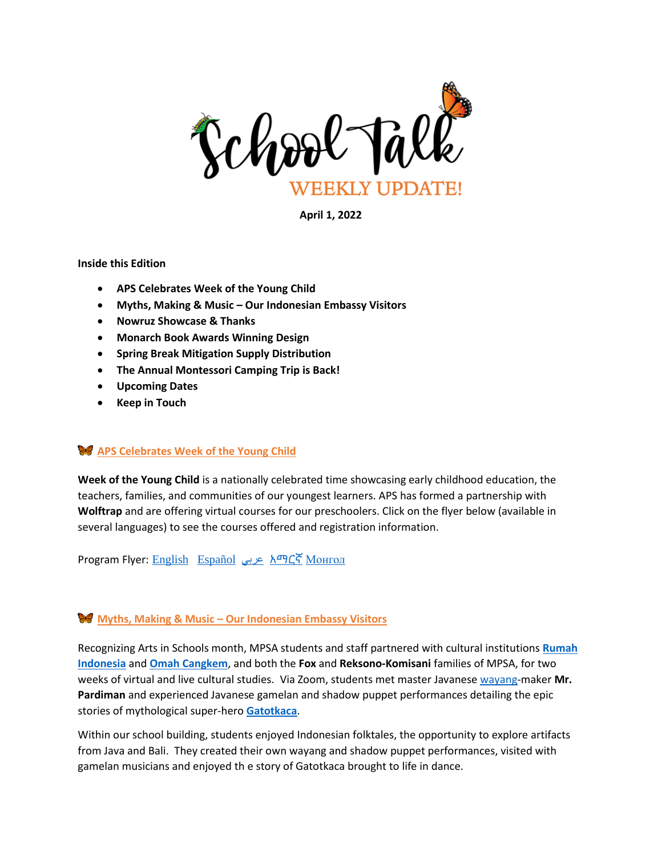

**April 1, 2022**

#### **Inside this Edition**

- **APS Celebrates Week of the Young Child**
- **Myths, Making & Music – Our Indonesian Embassy Visitors**
- **Nowruz Showcase & Thanks**
- **Monarch Book Awards Winning Design**
- **Spring Break Mitigation Supply Distribution**
- **The Annual Montessori Camping Trip is Back!**
- **Upcoming Dates**
- **Keep in Touch**

### **APS Celebrates Week of the Young Child**

**Week of the Young Child** is a nationally celebrated time showcasing early childhood education, the teachers, families, and communities of our youngest learners. APS has formed a partnership with **Wolftrap** and are offering virtual courses for our preschoolers. Click on the flyer below (available in several languages) to see the courses offered and registration information.

Program Flyer: [English](http://track.spe.schoolmessenger.com/f/a/wnfLDNM4oy54IKd6n1FKnA~~/AAAAAQA~/RgRkKyWgP0R1aHR0cHM6Ly9tc2cuc2Nob29sbWVzc2VuZ2VyLmNvbS9tLz9zPXpDOHhxblhIYnpFJm1hbD01NTBhN2FlODkyOTRmYTVhZDdkMjE0MTQzZDZmZmFhMTBjZjRlMTI4MjRkMWM2YjY4N2JlYWZiNDRlYmIyMmUwVwdzY2hvb2xtQgpiQyDySWJY0U0TUhxraWEuc3RldmVuc29uaGF5bmVzQGFwc3ZhLnVzWAQAAAAB) [Español](http://track.spe.schoolmessenger.com/f/a/EzVWazoubn8G2ACBeaSAHw~~/AAAAAQA~/RgRkKyWgP0R1aHR0cHM6Ly9tc2cuc2Nob29sbWVzc2VuZ2VyLmNvbS9tLz9zPXpDOHhxblhIYnpFJm1hbD02MDhiNDY0NmM3MjVlYzAzZDhkMzQ5ZjIxMDE4NTJjZDJjOTE3NDFkOTgzN2U0NjA4MDhjOGUyMzQxNDVhNWRlVwdzY2hvb2xtQgpiQyDySWJY0U0TUhxraWEuc3RldmVuc29uaGF5bmVzQGFwc3ZhLnVzWAQAAAAB) [عربي](http://track.spe.schoolmessenger.com/f/a/NnR9AAY9QQEufIhvR_XRYQ~~/AAAAAQA~/RgRkKyWgP0R1aHR0cHM6Ly9tc2cuc2Nob29sbWVzc2VuZ2VyLmNvbS9tLz9zPXpDOHhxblhIYnpFJm1hbD1iZWFmYTRkMGQ3MjM4YjkyMjU1OTkyMzM0Y2RmMWFkZTU3NTMxOTQ1OGUzNTJiOWQ4YmU5MzU1YjljNjEyYmY0VwdzY2hvb2xtQgpiQyDySWJY0U0TUhxraWEuc3RldmVuc29uaGF5bmVzQGFwc3ZhLnVzWAQAAAAB) [አማርኛ](http://track.spe.schoolmessenger.com/f/a/RHWosNxjqR4z_Dqqnjw2cw~~/AAAAAQA~/RgRkKyWgP0R1aHR0cHM6Ly9tc2cuc2Nob29sbWVzc2VuZ2VyLmNvbS9tLz9zPXpDOHhxblhIYnpFJm1hbD1iODJiNGVkMTBhMDljOGJlNzAxOWQ4N2Q3ZjRjNDBkOTMyYTBlM2ZmYzNiMDExNjYyYTJiZjEzZmRkYTIxY2Y2VwdzY2hvb2xtQgpiQyDySWJY0U0TUhxraWEuc3RldmVuc29uaGF5bmVzQGFwc3ZhLnVzWAQAAAAB) [Монгол](http://track.spe.schoolmessenger.com/f/a/HatuzJ4y5F9Yqg0m8Uk-xQ~~/AAAAAQA~/RgRkKyWgP0R1aHR0cHM6Ly9tc2cuc2Nob29sbWVzc2VuZ2VyLmNvbS9tLz9zPXpDOHhxblhIYnpFJm1hbD1jNDI0MzQ0NTVhN2Y2ZjA1NjBlMzNlYWM0NGQxZTRmZGE2MjcwNDlhZDNlNzU2MzcxNTcxNzhiNDg2YzY4YjE1VwdzY2hvb2xtQgpiQyDySWJY0U0TUhxraWEuc3RldmVuc29uaGF5bmVzQGFwc3ZhLnVzWAQAAAAB)

# **Myths, Making & Music – Our Indonesian Embassy Visitors**

Recognizing Arts in Schools month, MPSA students and staff partnered with cultural institutions **[Rumah](https://www.rumah-indonesia.org/)  [Indonesia](https://www.rumah-indonesia.org/)** and **[Omah Cangkem](https://omahcangkem.com/)**, and both the **Fox** and **Reksono-Komisani** families of MPSA, for two weeks of virtual and live cultural studies. Via Zoom, students met master Javanese [wayang-](https://en.wikipedia.org/wiki/Wayang)maker **Mr. Pardiman** and experienced Javanese gamelan and shadow puppet performances detailing the epic stories of mythological super-hero **[Gatotkaca](https://en.wikipedia.org/wiki/Ghatotkacha)**.

Within our school building, students enjoyed Indonesian folktales, the opportunity to explore artifacts from Java and Bali. They created their own wayang and shadow puppet performances, visited with gamelan musicians and enjoyed th e story of Gatotkaca brought to life in dance.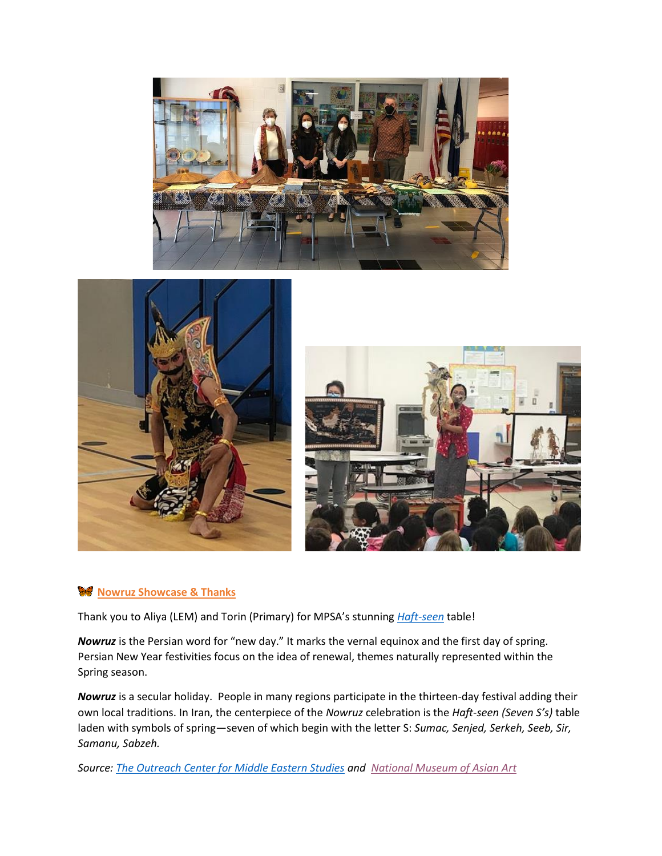





# **W** Nowruz Showcase & Thanks

Thank you to Aliya (LEM) and Torin (Primary) for MPSA's stunning *[Haft-seen](https://en.wikipedia.org/wiki/Haft-sin)* table!

*Nowruz* is the Persian word for "new day." It marks the vernal equinox and the first day of spring. Persian New Year festivities focus on the idea of renewal, themes naturally represented within the Spring season.

*Nowruz* is a secular holiday. People in many regions participate in the thirteen-day festival adding their own local traditions. In Iran, the centerpiece of the *Nowruz* celebration is the *Haft-seen (Seven S's)* table laden with symbols of spring—seven of which begin with the letter S: *Sumac, Senjed, Serkeh, Seeb, Sir, Samanu, Sabzeh.*

*Source: [The Outreach Center for Middle Eastern Studies](https://cmes.fas.harvard.edu/files/NowruzCurriculumText.pdf) and [National Museum of Asian Art](https://asia.si.edu/nowruz/)*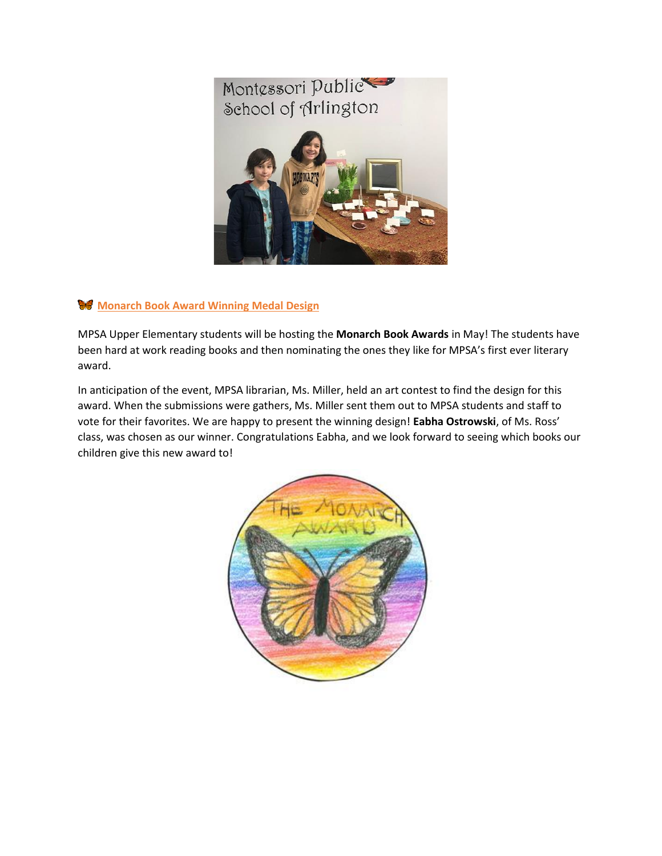

# **Monarch Book Award Winning Medal Design**

MPSA Upper Elementary students will be hosting the **Monarch Book Awards** in May! The students have been hard at work reading books and then nominating the ones they like for MPSA's first ever literary award.

In anticipation of the event, MPSA librarian, Ms. Miller, held an art contest to find the design for this award. When the submissions were gathers, Ms. Miller sent them out to MPSA students and staff to vote for their favorites. We are happy to present the winning design! **Eabha Ostrowski**, of Ms. Ross' class, was chosen as our winner. Congratulations Eabha, and we look forward to seeing which books our children give this new award to!